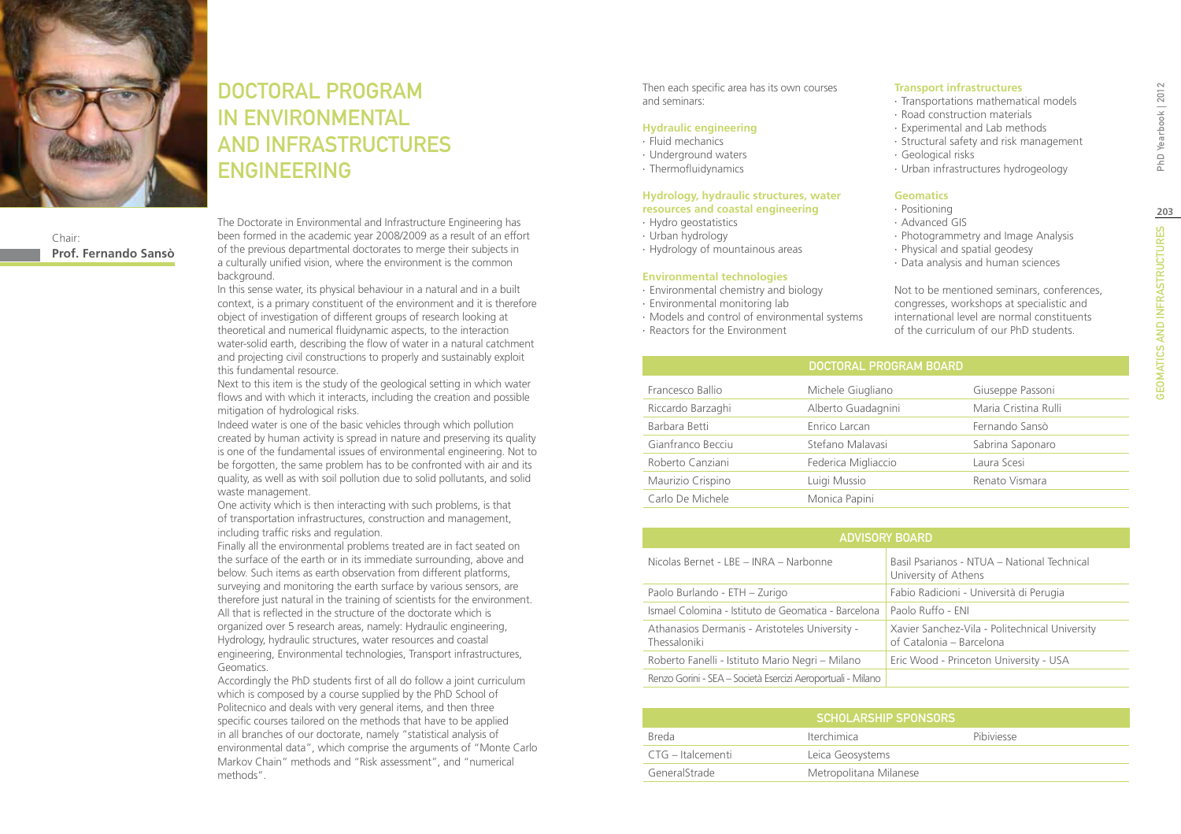

### Chair: **Prof. Fernando Sansò**

DOCTORAL PROGRAM IN Environmental and Infrastructures **ENGINEERING** 

The Doctorate in Environmental and Infrastructure Engineering has been formed in the academic year 2008/2009 as a result of an effort of the previous departmental doctorates to merge their subjects in a culturally unified vision, where the environment is the common background.

In this sense water, its physical behaviour in a natural and in a built context, is a primary constituent of the environment and it is therefore object of investigation of different groups of research looking at theoretical and numerical fluidynamic aspects, to the interaction water-solid earth, describing the flow of water in a natural catchment and projecting civil constructions to properly and sustainably exploit this fundamental resource.

Next to this item is the study of the geological setting in which water flows and with which it interacts, including the creation and possible mitigation of hydrological risks.

Indeed water is one of the basic vehicles through which pollution created by human activity is spread in nature and preserving its quality is one of the fundamental issues of environmental engineering. Not to be forgotten, the same problem has to be confronted with air and its quality, as well as with soil pollution due to solid pollutants, and solid waste management.

One activity which is then interacting with such problems, is that of transportation infrastructures, construction and management, including traffic risks and regulation.

Finally all the environmental problems treated are in fact seated on the surface of the earth or in its immediate surrounding, above and below. Such items as earth observation from different platforms, surveying and monitoring the earth surface by various sensors, are therefore just natural in the training of scientists for the environment. All that is reflected in the structure of the doctorate which is organized over 5 research areas, namely: Hydraulic engineering, Hydrology, hydraulic structures, water resources and coastal engineering, Environmental technologies, Transport infrastructures, Geomatics.

Accordingly the PhD students first of all do follow a joint curriculum which is composed by a course supplied by the PhD School of Politecnico and deals with very general items, and then three specific courses tailored on the methods that have to be applied in all branches of our doctorate, namely "statistical analysis of environmental data", which comprise the arguments of "Monte Carlo Markov Chain" methods and "Risk assessment", and "numerical methods".

Then each specific area has its own courses and seminars:

### **Hydraulic engineering**

- ∙ Fluid mechanics
- ∙ Underground waters
- ∙ Thermofluidynamics

#### **Hydrology, hydraulic structures, water resources and coastal engineering**

- ∙ Hydro geostatistics
- ∙ Urban hydrology
- ∙ Hydrology of mountainous areas

#### **Environmental technologies**

- ∙ Environmental chemistry and biology
- ∙ Environmental monitoring lab
- ∙ Models and control of environmental systems
- ∙ Reactors for the Environment

**Transport infrastructures**

- ∙ Transportations mathematical models
- ∙ Road construction materials
- ∙ Experimental and Lab methods
- ∙ Structural safety and risk management
- ∙ Geological risks
- ∙ Urban infrastructures hydrogeology

### **Geomatics**

- ∙ Positioning
- ∙ Advanced GIS
- ∙ Photogrammetry and Image Analysis
- ∙ Physical and spatial geodesy
- ∙ Data analysis and human sciences

Not to be mentioned seminars, conferences, congresses, workshops at specialistic and international level are normal constituents of the curriculum of our PhD students.

| <b>DOCTORAL PROGRAM BOARD</b> |                      |
|-------------------------------|----------------------|
| Michele Giugliano             | Giuseppe Passoni     |
| Alberto Guadagnini            | Maria Cristina Rulli |
| Enrico Larcan                 | Fernando Sansò       |
| Stefano Malavasi              | Sabrina Saponaro     |
| Federica Migliaccio           | Laura Scesi          |
| Luigi Mussio                  | Renato Vismara       |
| Monica Papini                 |                      |
|                               |                      |

| <b>ADVISORY BOARD</b>                                          |                                                                            |  |
|----------------------------------------------------------------|----------------------------------------------------------------------------|--|
| Nicolas Bernet - LBE - INRA - Narbonne                         | Basil Psarianos - NTUA - National Technical<br>University of Athens        |  |
| Paolo Burlando - ETH - Zurigo                                  | Fabio Radicioni - Università di Perugia                                    |  |
| Ismael Colomina - Istituto de Geomatica - Barcelona            | Paolo Ruffo - ENI                                                          |  |
| Athanasios Dermanis - Aristoteles University -<br>Thessaloniki | Xavier Sanchez-Vila - Politechnical University<br>of Catalonia - Barcelona |  |
| Roberto Fanelli - Istituto Mario Negri – Milano                | Eric Wood - Princeton University - USA                                     |  |
| Renzo Gorini - SEA – Società Esercizi Aeroportuali - Milano    |                                                                            |  |

| I SCHOLARSHIP SPONSORS' |                        |            |  |  |
|-------------------------|------------------------|------------|--|--|
| <b>Breda</b>            | <b>Iterchimica</b>     | Pibiviesse |  |  |
| CTG – Italcementi       | Leica Geosystems       |            |  |  |
| GeneralStrade           | Metropolitana Milanese |            |  |  |

PhD Yearbook | 2012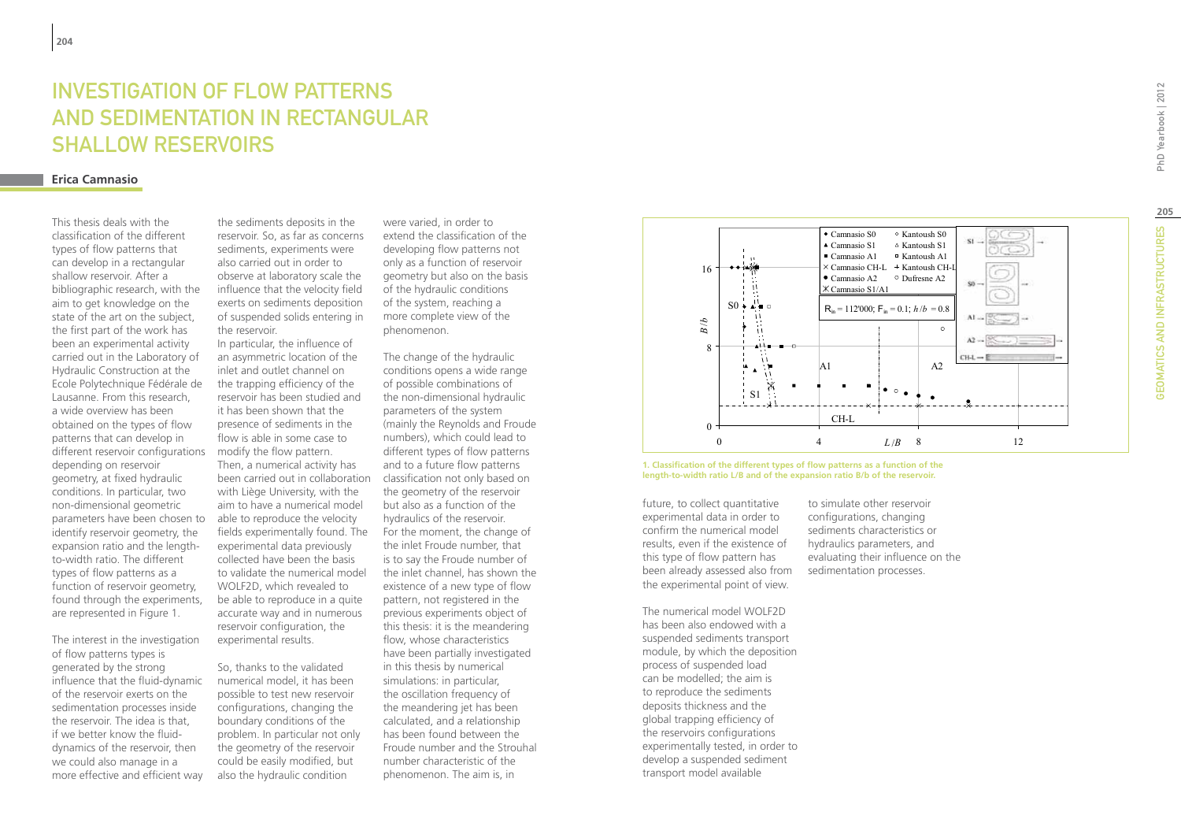# **INVESTIG<br>AND SED<br>SHALLOV<br>Erica Camnasio** INVESTIGATION OF FLOW PATTERNS AND SEDIMENTATION IN RECTANGU SHALLOW RESERVOIRS

This thesis deals with the classification of the different types of flow patterns that can develop in a rectangular shallow reservoir. After a bibliographic research, with the aim to get knowledge on the state of the art on the subject, the first part of the work has been an experimental activity carried out in the Laboratory of Hydraulic Construction at the Ecole Polytechnique Fédérale de Lausanne. From this research, a wide overview has been obtained on the types of flow patterns that can develop in different reservoir configurations modify the flow pattern. depending on reservoir geometry, at fixed hydraulic conditions. In particular, two non-dimensional geometric parameters have been chosen to identify reservoir geometry, the expansion ratio and the lengthto-width ratio. The different types of flow patterns as a function of reservoir geometry, found through the experiments, are represented in Figure 1.

The interest in the investigation of flow patterns types is generated by the strong influence that the fluid-dynamic of the reservoir exerts on the sedimentation processes inside the reservoir. The idea is that, if we better know the fluiddynamics of the reservoir, then we could also manage in a more effective and efficient way

the sediments deposits in the reservoir. So, as far as concerns sediments, experiments were also carried out in order to observe at laboratory scale the influence that the velocity field exerts on sediments deposition of suspended solids entering in the reservoir.

In particular, the influence of an asymmetric location of the inlet and outlet channel on the trapping efficiency of the reservoir has been studied and it has been shown that the presence of sediments in the flow is able in some case to Then, a numerical activity has been carried out in collaboration with Liège University, with the aim to have a numerical model able to reproduce the velocity fields experimentally found. The experimental data previously collected have been the basis to validate the numerical model WOLF2D, which revealed to be able to reproduce in a quite accurate way and in numerous reservoir configuration, the experimental results.

So, thanks to the validated numerical model, it has been possible to test new reservoir configurations, changing the boundary conditions of the problem. In particular not only the geometry of the reservoir could be easily modified, but also the hydraulic condition

were varied, in order to extend the classification of the developing flow patterns not only as a function of reservoir geometry but also on the basis of the hydraulic conditions of the system, reaching a more complete view of the phenomenon.

The change of the hydraulic conditions opens a wide range of possible combinations of the non-dimensional hydraulic parameters of the system (mainly the Reynolds and Froude numbers), which could lead to different types of flow patterns and to a future flow patterns classification not only based on the geometry of the reservoir but also as a function of the hydraulics of the reservoir. For the moment, the change of the inlet Froude number, that is to say the Froude number of the inlet channel, has shown the existence of a new type of flow pattern, not registered in the previous experiments object of this thesis: it is the meandering flow, whose characteristics have been partially investigated in this thesis by numerical simulations: in particular, the oscillation frequency of the meandering jet has been calculated, and a relationship has been found between the Froude number and the Strouhal number characteristic of the phenomenon. The aim is, in



**1. Classification of the different types of flow patterns as a function of the length-to-width ratio L/B and of the expansion ratio B/b of the reservoir.**

future, to collect quantitative experimental data in order to confirm the numerical model results, even if the existence of this type of flow pattern has been already assessed also from the experimental point of view.

The numerical model WOLF2D has been also endowed with a suspended sediments transport module, by which the deposition process of suspended load can be modelled; the aim is to reproduce the sediments deposits thickness and the global trapping efficiency of the reservoirs configurations experimentally tested, in order to develop a suspended sediment transport model available

to simulate other reservoir configurations, changing sediments characteristics or hydraulics parameters, and evaluating their influence on the sedimentation processes.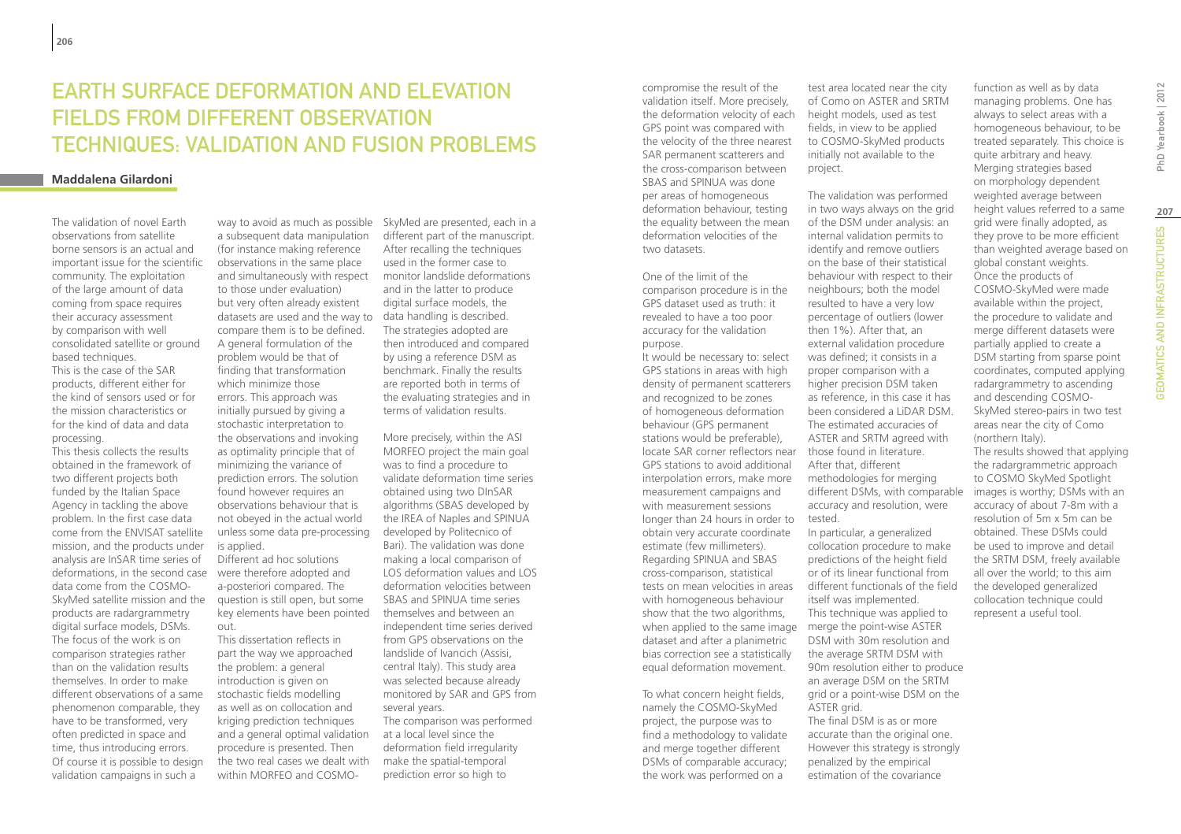# **FARTH SURFACE DEFORMATION AND FI EVATION** fields from different observation techniques: validation and fusion problems

### **Maddalena Gilardoni**

The validation of novel Earth observations from satellite borne sensors is an actual and important issue for the scientific community. The exploitation of the large amount of data coming from space requires their accuracy assessment by comparison with well consolidated satellite or ground based techniques. This is the case of the SAR products, different either for the kind of sensors used or for the mission characteristics or for the kind of data and data processing. This thesis collects the results

obtained in the framework of two different projects both funded by the Italian Space Agency in tackling the above problem. In the first case data come from the ENVISAT satellite mission, and the products under analysis are InSAR time series of deformations, in the second case were therefore adopted and data come from the COSMO-SkyMed satellite mission and the products are radargrammetry digital surface models, DSMs. The focus of the work is on comparison strategies rather than on the validation results themselves. In order to make different observations of a same phenomenon comparable, they have to be transformed, very often predicted in space and time, thus introducing errors. Of course it is possible to design validation campaigns in such a

a subsequent data manipulation (for instance making reference observations in the same place and simultaneously with respect to those under evaluation) but very often already existent datasets are used and the way to data handling is described. compare them is to be defined. A general formulation of the problem would be that of finding that transformation which minimize those errors. This approach was initially pursued by giving a stochastic interpretation to the observations and invoking as optimality principle that of minimizing the variance of prediction errors. The solution found however requires an observations behaviour that is not obeyed in the actual world unless some data pre-processing is applied. Different ad hoc solutions a-posteriori compared. The question is still open, but some key elements have been pointed out. This dissertation reflects in

part the way we approached the problem: a general introduction is given on stochastic fields modelling as well as on collocation and kriging prediction techniques and a general optimal validation procedure is presented. Then the two real cases we dealt with within MORFEO and COSMO-

way to avoid as much as possible SkyMed are presented, each in a different part of the manuscript. After recalling the techniques used in the former case to monitor landslide deformations and in the latter to produce digital surface models, the The strategies adopted are then introduced and compared by using a reference DSM as benchmark. Finally the results are reported both in terms of the evaluating strategies and in terms of validation results.

> More precisely, within the ASI MORFEO project the main goal was to find a procedure to validate deformation time series obtained using two DInSAR algorithms (SBAS developed by the IREA of Naples and SPINUA developed by Politecnico of Bari). The validation was done making a local comparison of LOS deformation values and LOS deformation velocities between SBAS and SPINUA time series themselves and between an independent time series derived from GPS observations on the landslide of Ivancich (Assisi, central Italy). This study area was selected because already monitored by SAR and GPS from several years. The comparison was performed at a local level since the deformation field irregularity make the spatial-temporal prediction error so high to

compromise the result of the validation itself. More precisely, the deformation velocity of each GPS point was compared with the velocity of the three nearest SAR permanent scatterers and the cross-comparison between SBAS and SPINUA was done per areas of homogeneous deformation behaviour, testing the equality between the mean deformation velocities of the two datasets.

One of the limit of the comparison procedure is in the GPS dataset used as truth: it revealed to have a too poor accuracy for the validation purpose.

It would be necessary to: select GPS stations in areas with high density of permanent scatterers and recognized to be zones of homogeneous deformation behaviour (GPS permanent stations would be preferable), locate SAR corner reflectors near those found in literature. GPS stations to avoid additional interpolation errors, make more measurement campaigns and with measurement sessions longer than 24 hours in order to tested. obtain very accurate coordinate estimate (few millimeters). Regarding SPINUA and SBAS cross-comparison, statistical tests on mean velocities in areas with homogeneous behaviour show that the two algorithms, when applied to the same image merge the point-wise ASTER dataset and after a planimetric bias correction see a statistically equal deformation movement.

To what concern height fields, namely the COSMO-SkyMed project, the purpose was to find a methodology to validate and merge together different DSMs of comparable accuracy; the work was performed on a

test area located near the city of Como on ASTER and SRTM height models, used as test fields, in view to be applied to COSMO-SkyMed products initially not available to the project.

The validation was performed in two ways always on the grid of the DSM under analysis: an internal validation permits to identify and remove outliers on the base of their statistical behaviour with respect to their neighbours; both the model resulted to have a very low percentage of outliers (lower then 1%). After that, an external validation procedure was defined; it consists in a proper comparison with a higher precision DSM taken as reference, in this case it has been considered a LiDAR DSM. The estimated accuracies of ASTER and SRTM agreed with After that, different methodologies for merging different DSMs, with comparable accuracy and resolution, were In particular, a generalized

collocation procedure to make predictions of the height field or of its linear functional from different functionals of the field itself was implemented. This technique was applied to DSM with 30m resolution and the average SRTM DSM with 90m resolution either to produce an average DSM on the SRTM grid or a point-wise DSM on the ASTER grid. The final DSM is as or more accurate than the original one. However this strategy is strongly penalized by the empirical estimation of the covariance

function as well as by data managing problems. One has always to select areas with a homogeneous behaviour, to be treated separately. This choice is quite arbitrary and heavy. Merging strategies based on morphology dependent weighted average between height values referred to a same grid were finally adopted, as they prove to be more efficient than weighted average based on global constant weights. Once the products of COSMO-SkyMed were made available within the project, the procedure to validate and merge different datasets were partially applied to create a DSM starting from sparse point coordinates, computed applying radargrammetry to ascending and descending COSMO-SkyMed stereo-pairs in two test areas near the city of Como (northern Italy). The results showed that applying the radargrammetric approach to COSMO SkyMed Spotlight images is worthy; DSMs with an accuracy of about 7-8m with a resolution of 5m x 5m can be obtained. These DSMs could be used to improve and detail the SRTM DSM, freely available all over the world; to this aim the developed generalized collocation technique could represent a useful tool.

**207**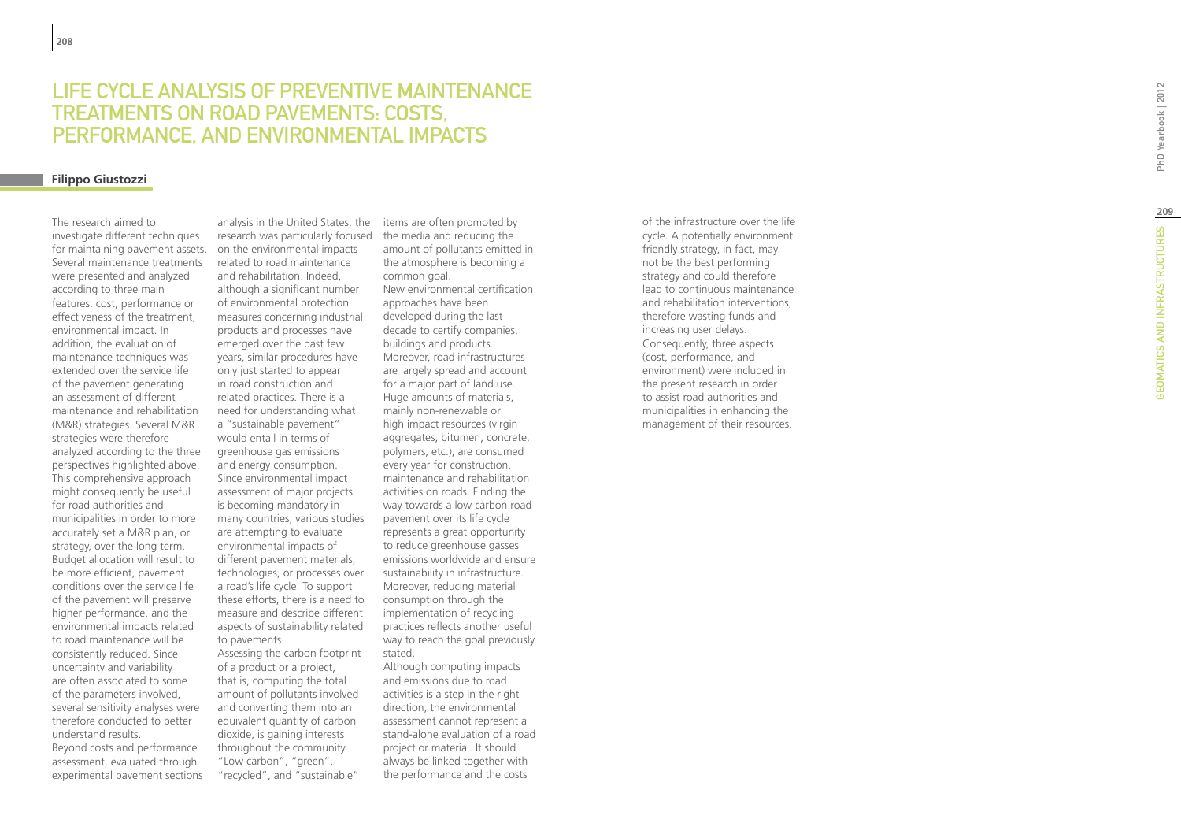# LIFE CYCLE ANALYS<br>TREATMENTS ON R(<br>PERFORMANCE, AN<br><sup>Filippo Giustozzi</sup> IS OF PREVENTIVE M TREATMENTS ON ROAD PAVEMENTS: COSTS, PERFORMANCE, AND ENVIRONMENTAL IMPACTS

The research aimed to investigate different techniques for maintaining pavement assets. Several maintenance treatments were presented and analyzed according to three main features: cost, performance or effectiveness of the treatment, environmental impact. In addition, the evaluation of maintenance techniques was extended over the service life of the pavement generating an assessment of different maintenance and rehabilitation (M&R) strategies. Several M&R strategies were therefore analyzed according to the three perspectives highlighted above. This comprehensive approach might consequently be useful for road authorities and municipalities in order to more accurately set a M&R plan, or strategy, over the long term. Budget allocation will result to be more efficient, pavement conditions over the service life of the pavement will preserve higher performance, and the environmental impacts related to road maintenance will be consistently reduced. Since uncertainty and variability are often associated to some of the parameters involved, several sensitivity analyses were therefore conducted to better understand results. Beyond costs and performance assessment, evaluated through

experimental pavement sections

analysis in the United States, the research was particularly focused on the environmental impacts related to road maintenance and rehabilitation. Indeed, although a significant number of environmental protection measures concerning industrial products and processes have emerged over the past few years, similar procedures have only just started to appear in road construction and related practices. There is a need for understanding what a "sustainable pavement" would entail in terms of greenhouse gas emissions and energy consumption. Since environmental impact assessment of major projects is becoming mandatory in many countries, various studies are attempting to evaluate environmental impacts of different pavement materials, technologies, or processes over a road's life cycle. To support these efforts, there is a need to measure and describe different aspects of sustainability related to pavements. Assessing the carbon footprint of a product or a project, that is, computing the total

amount of pollutants involved and converting them into an equivalent quantity of carbon dioxide, is gaining interests throughout the community. "Low carbon", "green", "recycled", and "sustainable"

items are often promoted by the media and reducing the amount of pollutants emitted in the atmosphere is becoming a common goal. New environmental certification approaches have been developed during the last decade to certify companies, buildings and products. Moreover, road infrastructures are largely spread and account for a major part of land use. Huge amounts of materials, mainly non-renewable or high impact resources (virgin aggregates, bitumen, concrete, polymers, etc.), are consumed every year for construction, maintenance and rehabilitation activities on roads. Finding the way towards a low carbon road pavement over its life cycle represents a great opportunity to reduce greenhouse gasses emissions worldwide and ensure sustainability in infrastructure. Moreover, reducing material consumption through the implementation of recycling practices reflects another useful way to reach the goal previously stated.

Although computing impacts and emissions due to road activities is a step in the right direction, the environmental assessment cannot represent a stand-alone evaluation of a road project or material. It should always be linked together with the performance and the costs

of the infrastructure over the life cycle. A potentially environment friendly strategy, in fact, may not be the best performing strategy and could therefore lead to continuous maintenance and rehabilitation interventions, therefore wasting funds and increasing user delays. Consequently, three aspects (cost, performance, and environment) were included in the present research in order to assist road authorities and municipalities in enhancing the management of their resources.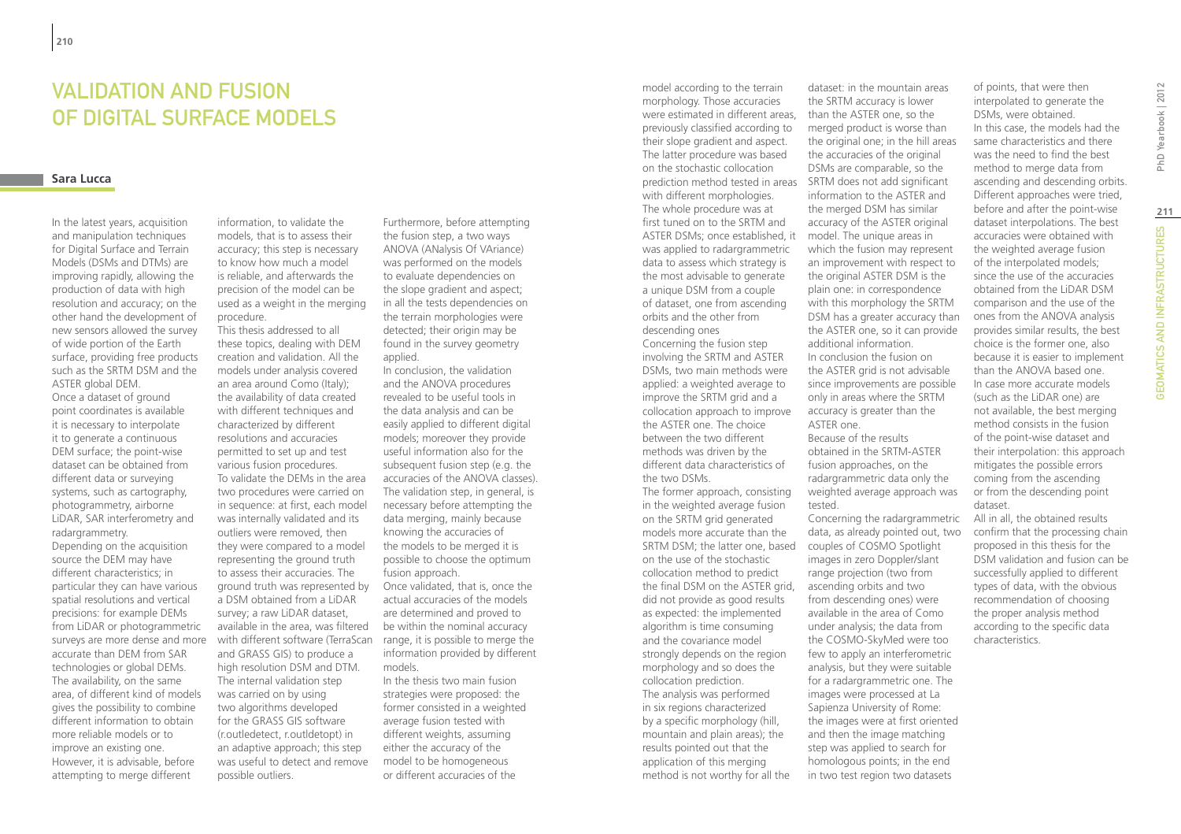### **VAI IDATION AND FUSION** of Digital Surface Models

### **Sara Lucca**

In the latest years, acquisition and manipulation techniques for Digital Surface and Terrain Models (DSMs and DTMs) are improving rapidly, allowing the production of data with high resolution and accuracy; on the other hand the development of new sensors allowed the survey of wide portion of the Earth surface, providing free products such as the SRTM DSM and the ASTER global DEM. Once a dataset of ground point coordinates is available it is necessary to interpolate it to generate a continuous DEM surface; the point-wise dataset can be obtained from different data or surveying systems, such as cartography, photogrammetry, airborne LiDAR, SAR interferometry and radargrammetry. Depending on the acquisition source the DEM may have different characteristics; in particular they can have various spatial resolutions and vertical precisions: for example DEMs from LiDAR or photogrammetric surveys are more dense and more accurate than DEM from SAR technologies or global DEMs. The availability, on the same area, of different kind of models gives the possibility to combine different information to obtain more reliable models or to improve an existing one. However, it is advisable, before attempting to merge different

information, to validate the models, that is to assess their accuracy; this step is necessary to know how much a model is reliable, and afterwards the precision of the model can be used as a weight in the merging procedure.

This thesis addressed to all these topics, dealing with DEM creation and validation. All the models under analysis covered an area around Como (Italy); the availability of data created with different techniques and characterized by different resolutions and accuracies permitted to set up and test various fusion procedures. To validate the DEMs in the area two procedures were carried on in sequence: at first, each model was internally validated and its outliers were removed, then they were compared to a model representing the ground truth to assess their accuracies. The ground truth was represented by a DSM obtained from a LiDAR survey; a raw LiDAR dataset, available in the area, was filtered be within the nominal accuracy with different software (TerraScan and GRASS GIS) to produce a high resolution DSM and DTM. The internal validation step was carried on by using two algorithms developed for the GRASS GIS software (r.outledetect, r.outldetopt) in an adaptive approach; this step was useful to detect and remove possible outliers.

Furthermore, before attempting the fusion step, a two ways ANOVA (ANalysis Of VAriance) was performed on the models to evaluate dependencies on the slope gradient and aspect; in all the tests dependencies on the terrain morphologies were detected; their origin may be found in the survey geometry applied.

In conclusion, the validation and the ANOVA procedures revealed to be useful tools in the data analysis and can be easily applied to different digital models; moreover they provide useful information also for the subsequent fusion step (e.g. the accuracies of the ANOVA classes). The validation step, in general, is necessary before attempting the data merging, mainly because knowing the accuracies of the models to be merged it is possible to choose the optimum fusion approach.

Once validated, that is, once the actual accuracies of the models are determined and proved to range, it is possible to merge the information provided by different models.

In the thesis two main fusion strategies were proposed: the former consisted in a weighted average fusion tested with different weights, assuming either the accuracy of the model to be homogeneous or different accuracies of the

model according to the terrain morphology. Those accuracies were estimated in different areas, previously classified according to their slope gradient and aspect. The latter procedure was based on the stochastic collocation prediction method tested in areas SRTM does not add significant with different morphologies. The whole procedure was at first tuned on to the SRTM and ASTER DSMs; once established, it was applied to radargrammetric data to assess which strategy is the most advisable to generate a unique DSM from a couple of dataset, one from ascending orbits and the other from descending ones

Concerning the fusion step involving the SRTM and ASTER DSMs, two main methods were applied: a weighted average to improve the SRTM grid and a collocation approach to improve the ASTER one. The choice between the two different methods was driven by the different data characteristics of the two DSMs.

The former approach, consisting in the weighted average fusion on the SRTM grid generated models more accurate than the SRTM DSM; the latter one, based couples of COSMO Spotlight on the use of the stochastic collocation method to predict the final DSM on the ASTER grid. did not provide as good results as expected: the implemented algorithm is time consuming and the covariance model strongly depends on the region morphology and so does the collocation prediction. The analysis was performed in six regions characterized by a specific morphology (hill, mountain and plain areas); the results pointed out that the application of this merging method is not worthy for all the

dataset: in the mountain areas the SRTM accuracy is lower than the ASTER one, so the merged product is worse than the original one; in the hill areas the accuracies of the original DSMs are comparable, so the information to the ASTER and the merged DSM has similar accuracy of the ASTER original model. The unique areas in which the fusion may represent an improvement with respect to the original ASTER DSM is the plain one: in correspondence with this morphology the SRTM DSM has a greater accuracy than the ASTER one, so it can provide additional information. In conclusion the fusion on the ASTER grid is not advisable since improvements are possible only in areas where the SRTM accuracy is greater than the ASTER one. Because of the results obtained in the SRTM-ASTER fusion approaches, on the radargrammetric data only the weighted average approach was tested. Concerning the radargrammetric data, as already pointed out, two images in zero Doppler/slant

range projection (two from ascending orbits and two from descending ones) were available in the area of Como under analysis; the data from the COSMO-SkyMed were too few to apply an interferometric analysis, but they were suitable for a radargrammetric one. The images were processed at La Sapienza University of Rome: the images were at first oriented and then the image matching step was applied to search for homologous points; in the end in two test region two datasets

of points, that were then interpolated to generate the DSMs, were obtained. In this case, the models had the same characteristics and there was the need to find the best method to merge data from ascending and descending orbits. Different approaches were tried, before and after the point-wise dataset interpolations. The best accuracies were obtained with the weighted average fusion of the interpolated models; since the use of the accuracies obtained from the LiDAR DSM comparison and the use of the ones from the ANOVA analysis provides similar results, the best choice is the former one, also because it is easier to implement than the ANOVA based one. In case more accurate models (such as the LiDAR one) are not available, the best merging method consists in the fusion of the point-wise dataset and their interpolation: this approach mitigates the possible errors coming from the ascending or from the descending point dataset.

All in all, the obtained results confirm that the processing chain proposed in this thesis for the DSM validation and fusion can be successfully applied to different types of data, with the obvious recommendation of choosing the proper analysis method according to the specific data characteristics.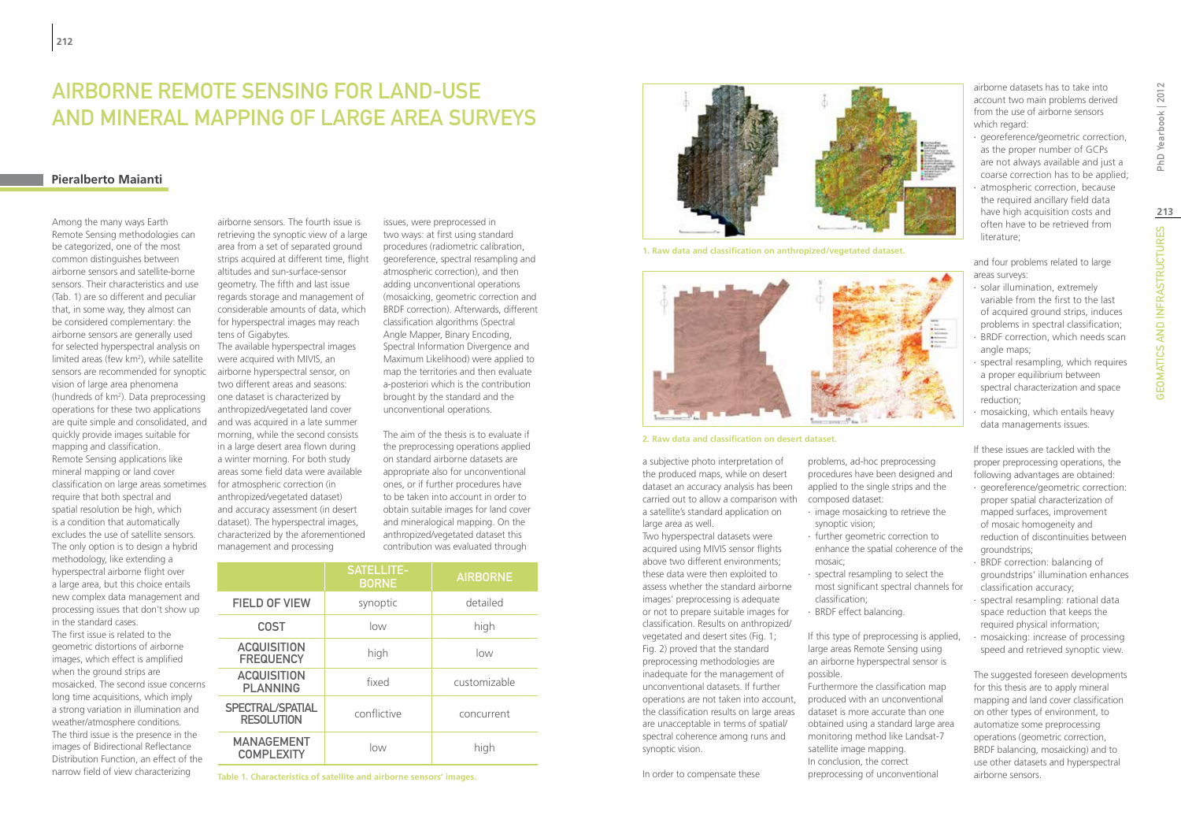# Airborne Remote Sensing for land-use and mineral mapping of large area surveys

### **Pieralberto Maianti**

Among the many ways Earth Remote Sensing methodologies can be categorized, one of the most common distinguishes between airborne sensors and satellite-borne sensors. Their characteristics and use (Tab. 1) are so different and peculiar that, in some way, they almost can be considered complementary: the airborne sensors are generally used for selected hyperspectral analysis on limited areas (few km2 ), while satellite sensors are recommended for synoptic vision of large area phenomena (hundreds of km<sup>2</sup>). Data preprocessing operations for these two applications are quite simple and consolidated, and quickly provide images suitable for mapping and classification. Remote Sensing applications like mineral mapping or land cover classification on large areas sometimes require that both spectral and spatial resolution be high, which is a condition that automatically excludes the use of satellite sensors. The only option is to design a hybrid methodology, like extending a hyperspectral airborne flight over a large area, but this choice entails new complex data management and processing issues that don't show up in the standard cases. The first issue is related to the geometric distortions of airborne images, which effect is amplified when the ground strips are mosaicked. The second issue concerns long time acquisitions, which imply

a strong variation in illumination and weather/atmosphere conditions. The third issue is the presence in the images of Bidirectional Reflectance Distribution Function, an effect of the narrow field of view characterizing

airborne sensors. The fourth issue is retrieving the synoptic view of a large area from a set of separated ground strips acquired at different time, flight altitudes and sun-surface-sensor geometry. The fifth and last issue regards storage and management of considerable amounts of data, which for hyperspectral images may reach tens of Gigabytes. The available hyperspectral images were acquired with MIVIS, an

airborne hyperspectral sensor, on two different areas and seasons: one dataset is characterized by anthropized/vegetated land cover and was acquired in a late summer morning, while the second consists in a large desert area flown during a winter morning. For both study areas some field data were available for atmospheric correction (in anthropized/vegetated dataset) and accuracy assessment (in desert dataset). The hyperspectral images, characterized by the aforementioned management and processing

issues, were preprocessed in two ways: at first using standard procedures (radiometric calibration, georeference, spectral resampling and atmospheric correction), and then adding unconventional operations (mosaicking, geometric correction and BRDF correction). Afterwards, different classification algorithms (Spectral Angle Mapper, Binary Encoding, Spectral Information Divergence and Maximum Likelihood) were applied to map the territories and then evaluate a-posteriori which is the contribution brought by the standard and the unconventional operations.

The aim of the thesis is to evaluate if the preprocessing operations applied on standard airborne datasets are appropriate also for unconventional ones, or if further procedures have to be taken into account in order to obtain suitable images for land cover and mineralogical mapping. On the anthropized/vegetated dataset this contribution was evaluated through

|                                        | <b>SATELLITE-</b><br><b>BORNE</b> | <b>AIRBORNE</b> |
|----------------------------------------|-----------------------------------|-----------------|
| <b>FIELD OF VIEW</b>                   | synoptic                          | detailed        |
| <b>COST</b>                            | low                               | high            |
| <b>ACQUISITION</b><br><b>FREQUENCY</b> | high                              | low             |
| <b>ACQUISITION</b><br><b>PLANNING</b>  | fixed                             | customizable    |
| SPECTRAL/SPATIAL<br><b>RESOLUTION</b>  | conflictive                       | concurrent      |
| <b>MANAGEMENT</b><br><b>COMPLEXITY</b> | low                               | high            |

**Table 1. Characteristics of satellite and airborne sensors' images.**



**1. Raw data and classification on anthropized/vegetated dataset.**



#### **2. Raw data and classification on desert dataset.**

a subjective photo interpretation of the produced maps, while on desert dataset an accuracy analysis has been carried out to allow a comparison with a satellite's standard application on large area as well.

Two hyperspectral datasets were acquired using MIVIS sensor flights above two different environments; these data were then exploited to assess whether the standard airborne images' preprocessing is adequate or not to prepare suitable images for classification. Results on anthropized/ vegetated and desert sites (Fig. 1; Fig. 2) proved that the standard preprocessing methodologies are inadequate for the management of unconventional datasets. If further operations are not taken into account, the classification results on large areas are unacceptable in terms of spatial/ spectral coherence among runs and synoptic vision.

In order to compensate these

problems, ad-hoc preprocessing procedures have been designed and applied to the single strips and the composed dataset:

- ∙ image mosaicking to retrieve the synoptic vision;
- ∙ further geometric correction to enhance the spatial coherence of the mosaic;
- ∙ spectral resampling to select the most significant spectral channels for classification;
- ∙ BRDF effect balancing.

If this type of preprocessing is applied, large areas Remote Sensing using an airborne hyperspectral sensor is possible.

Furthermore the classification map produced with an unconventional dataset is more accurate than one obtained using a standard large area monitoring method like Landsat-7 satellite image mapping. In conclusion, the correct preprocessing of unconventional

airborne datasets has to take into account two main problems derived from the use of airborne sensors which regard:

- ∙ georeference/geometric correction, as the proper number of GCPs are not always available and just a coarse correction has to be applied;
- ∙ atmospheric correction, because the required ancillary field data have high acquisition costs and often have to be retrieved from literature;

and four problems related to large areas surveys:

- ∙ solar illumination, extremely variable from the first to the last of acquired ground strips, induces
- problems in spectral classification; ∙ BRDF correction, which needs scan angle maps:
- ∙ spectral resampling, which requires a proper equilibrium between spectral characterization and space reduction;
- ∙ mosaicking, which entails heavy data managements issues.

If these issues are tackled with the proper preprocessing operations, the following advantages are obtained:

- ∙ georeference/geometric correction: proper spatial characterization of mapped surfaces, improvement of mosaic homogeneity and reduction of discontinuities between groundstrips;
- ∙ BRDF correction: balancing of groundstrips' illumination enhances classification accuracy;
- ∙ spectral resampling: rational data space reduction that keeps the required physical information;
- ∙ mosaicking: increase of processing speed and retrieved synoptic view.

The suggested foreseen developments for this thesis are to apply mineral mapping and land cover classification on other types of environment, to automatize some preprocessing operations (geometric correction, BRDF balancing, mosaicking) and to use other datasets and hyperspectral airborne sensors.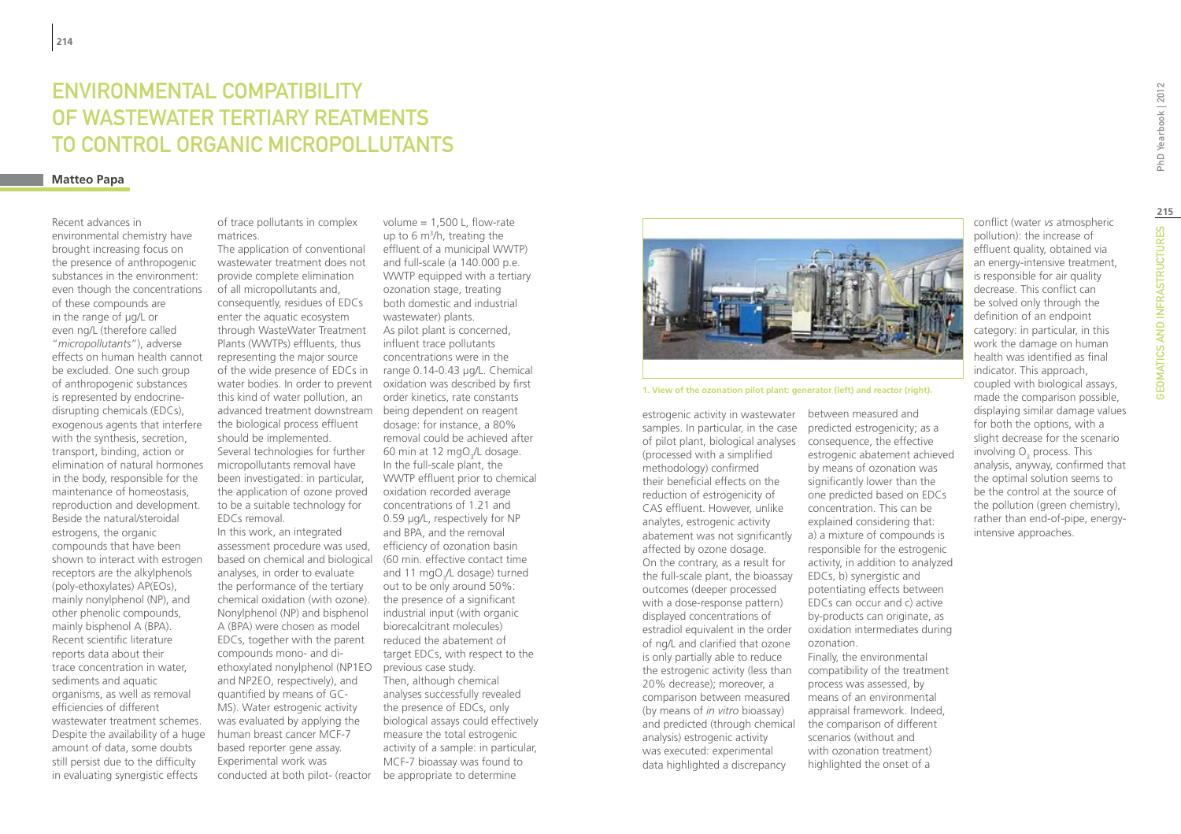# ENVIRONMENTAL COMPATIBILITY OF WASTEWATER TERTIARY REATMENTS TO CONTROL ORGANIC MICROPOLLUTANTS

### **Matteo Papa**

Recent advances in environmental chemistry have brought increasing focus on the presence of anthropogenic substances in the environment: even though the concentrations of these compounds are in the range of µg/L or even ng/L (therefore called "*micropollutants*"), adverse effects on human health cannot be excluded. One such group of anthropogenic substances is represented by endocrinedisrupting chemicals (EDCs), exogenous agents that interfere with the synthesis, secretion, transport, binding, action or elimination of natural hormones in the body, responsible for the maintenance of homeostasis, reproduction and development. Beside the natural/steroidal estrogens, the organic compounds that have been shown to interact with estrogen receptors are the alkylphenols (poly-ethoxylates) AP(EOs), mainly nonylphenol (NP), and other phenolic compounds, mainly bisphenol A (BPA). Recent scientific literature reports data about their trace concentration in water, sediments and aquatic organisms, as well as removal efficiencies of different wastewater treatment schemes. Despite the availability of a huge amount of data, some doubts still persist due to the difficulty in evaluating synergistic effects

of trace pollutants in complex matrices.

The application of conventional wastewater treatment does not provide complete elimination of all micropollutants and, consequently, residues of EDCs enter the aquatic ecosystem through WasteWater Treatment Plants (WWTPs) effluents, thus representing the major source of the wide presence of EDCs in range 0.14-0.43 µg/L. Chemical water bodies. In order to prevent oxidation was described by first this kind of water pollution, an advanced treatment downstream being dependent on reagent the biological process effluent should be implemented. Several technologies for further micropollutants removal have been investigated: in particular, the application of ozone proved to be a suitable technology for EDCs removal. In this work, an integrated assessment procedure was used, efficiency of ozonation basin based on chemical and biological analyses, in order to evaluate the performance of the tertiary chemical oxidation (with ozone). Nonylphenol (NP) and bisphenol A (BPA) were chosen as model EDCs, together with the parent compounds mono- and diethoxylated nonylphenol (NP1EO and NP2EO, respectively), and quantified by means of GC-MS). Water estrogenic activity

Experimental work was

was evaluated by applying the human breast cancer MCF-7 based reporter gene assay. conducted at both pilot- (reactor be appropriate to determine and full-scale (a 140.000 p.e. WWTP equipped with a tertiary ozonation stage, treating both domestic and industrial wastewater) plants. As pilot plant is concerned, influent trace pollutants concentrations were in the order kinetics, rate constants dosage: for instance, a 80% removal could be achieved after 60 min at 12 mgO<sub>3</sub>/L dosage. In the full-scale plant, the WWTP effluent prior to chemical oxidation recorded average concentrations of 1.21 and 0.59 µg/L, respectively for NP and BPA, and the removal (60 min. effective contact time and 11 mgO<sub>3</sub>/L dosage) turned out to be only around 50%: the presence of a significant industrial input (with organic biorecalcitrant molecules) reduced the abatement of target EDCs, with respect to the previous case study. Then, although chemical analyses successfully revealed the presence of EDCs, only biological assays could effectively measure the total estrogenic activity of a sample: in particular, MCF-7 bioassay was found to

volume = 1,500 L, flow-rate up to 6 m3 /h, treating the effluent of a municipal WWTP)



**1. View of the ozonation pilot plant: generator (left) and reactor (right).**

estrogenic activity in wastewater samples. In particular, in the case of pilot plant, biological analyses consequence, the effective (processed with a simplified methodology) confirmed their beneficial effects on the reduction of estrogenicity of CAS effluent. However, unlike analytes, estrogenic activity abatement was not significantly affected by ozone dosage. On the contrary, as a result for the full-scale plant, the bioassay outcomes (deeper processed with a dose-response pattern) displayed concentrations of estradiol equivalent in the order of ng/L and clarified that ozone is only partially able to reduce the estrogenic activity (less than 20% decrease); moreover, a comparison between measured (by means of *in vitro* bioassay) and predicted (through chemical analysis) estrogenic activity was executed: experimental data highlighted a discrepancy

between measured and predicted estrogenicity; as a estrogenic abatement achieved by means of ozonation was significantly lower than the one predicted based on EDCs concentration. This can be explained considering that: a) a mixture of compounds is responsible for the estrogenic activity, in addition to analyzed EDCs, b) synergistic and potentiating effects between EDCs can occur and c) active by-products can originate, as oxidation intermediates during ozonation. Finally, the environmental compatibility of the treatment process was assessed, by means of an environmental appraisal framework. Indeed, the comparison of different scenarios (without and with ozonation treatment)

conflict (water *vs* atmospheric pollution): the increase of effluent quality, obtained via an energy-intensive treatment, is responsible for air quality decrease. This conflict can be solved only through the definition of an endpoint category: in particular, in this work the damage on human health was identified as final indicator. This approach, coupled with biological assays, made the comparison possible, displaying similar damage values for both the options, with a slight decrease for the scenario involving  $\mathsf{O}_{\mathsf{3}}$  process. This analysis, anyway, confirmed that the optimal solution seems to be the control at the source of the pollution (green chemistry), rather than end-of-pipe, energyintensive approaches.

**215**

highlighted the onset of a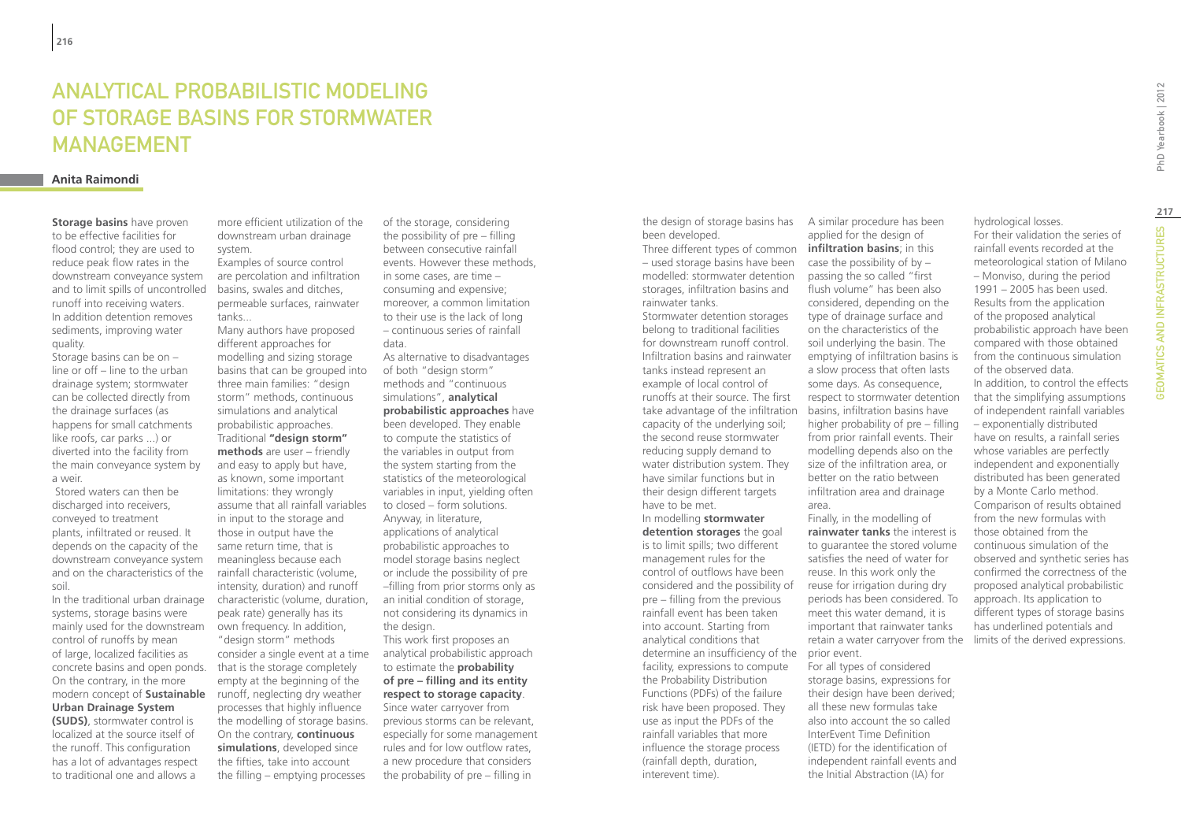### Analytical probabilistic modeling of storage basins for stormwater **MANAGEMENT**

#### **Anita Raimondi**

**Storage basins** have proven to be effective facilities for flood control; they are used to reduce peak flow rates in the downstream conveyance system and to limit spills of uncontrolled runoff into receiving waters. In addition detention removes sediments, improving water quality.

Storage basins can be on – line or off – line to the urban drainage system; stormwater can be collected directly from the drainage surfaces (as happens for small catchments like roofs, car parks ...) or diverted into the facility from the main conveyance system by a weir.

 Stored waters can then be discharged into receivers. conveyed to treatment plants, infiltrated or reused. It depends on the capacity of the downstream conveyance system and on the characteristics of the soil.

In the traditional urban drainage systems, storage basins were mainly used for the downstream control of runoffs by mean of large, localized facilities as concrete basins and open ponds. On the contrary, in the more modern concept of **Sustainable Urban Drainage System (SUDS)**, stormwater control is localized at the source itself of the runoff. This configuration has a lot of advantages respect

to traditional one and allows a

more efficient utilization of the downstream urban drainage system. Examples of source control

are percolation and infiltration basins, swales and ditches, permeable surfaces, rainwater tanks...

Many authors have proposed different approaches for modelling and sizing storage basins that can be grouped into three main families: "design storm" methods, continuous simulations and analytical probabilistic approaches. Traditional **"design storm" methods** are user – friendly and easy to apply but have, as known, some important limitations: they wrongly assume that all rainfall variables in input to the storage and those in output have the same return time, that is meaningless because each rainfall characteristic (volume, intensity, duration) and runoff characteristic (volume, duration, peak rate) generally has its own frequency. In addition, "design storm" methods consider a single event at a time that is the storage completely empty at the beginning of the runoff, neglecting dry weather processes that highly influence the modelling of storage basins. On the contrary, **continuous simulations**, developed since the fifties, take into account the filling – emptying processes

of the storage, considering the possibility of pre – filling between consecutive rainfall events. However these methods, in some cases, are time – consuming and expensive; moreover, a common limitation to their use is the lack of long – continuous series of rainfall data.

As alternative to disadvantages of both "design storm" methods and "continuous simulations", **analytical probabilistic approaches** have been developed. They enable to compute the statistics of the variables in output from the system starting from the statistics of the meteorological variables in input, yielding often to closed – form solutions. Anyway, in literature, applications of analytical probabilistic approaches to model storage basins neglect or include the possibility of pre –filling from prior storms only as an initial condition of storage, not considering its dynamics in the design. This work first proposes an

analytical probabilistic approach to estimate the **probability of pre – filling and its entity respect to storage capacity**. Since water carryover from previous storms can be relevant, especially for some management rules and for low outflow rates, a new procedure that considers the probability of pre – filling in

the design of storage basins has A similar procedure has been been developed.

Three different types of common **infiltration basins**; in this – used storage basins have been modelled: stormwater detention storages, infiltration basins and rainwater tanks.

Stormwater detention storages belong to traditional facilities for downstream runoff control. Infiltration basins and rainwater tanks instead represent an example of local control of runoffs at their source. The first take advantage of the infiltration capacity of the underlying soil; the second reuse stormwater reducing supply demand to water distribution system. They have similar functions but in their design different targets have to be met.

In modelling **stormwater detention storages** the goal is to limit spills; two different management rules for the control of outflows have been considered and the possibility of pre – filling from the previous rainfall event has been taken into account. Starting from analytical conditions that determine an insufficiency of the prior event. facility, expressions to compute the Probability Distribution Functions (PDFs) of the failure risk have been proposed. They use as input the PDFs of the rainfall variables that more influence the storage process (rainfall depth, duration, interevent time).

applied for the design of case the possibility of by  $$ passing the so called "first flush volume" has been also considered, depending on the type of drainage surface and on the characteristics of the soil underlying the basin. The emptying of infiltration basins is a slow process that often lasts some days. As consequence, respect to stormwater detention basins, infiltration basins have higher probability of pre – filling from prior rainfall events. Their modelling depends also on the size of the infiltration area, or better on the ratio between infiltration area and drainage area. Finally, in the modelling of

**rainwater tanks** the interest is to guarantee the stored volume satisfies the need of water for reuse. In this work only the reuse for irrigation during dry periods has been considered. To meet this water demand, it is important that rainwater tanks retain a water carryover from the limits of the derived expressions.

For all types of considered storage basins, expressions for their design have been derived; all these new formulas take also into account the so called InterEvent Time Definition (IETD) for the identification of independent rainfall events and the Initial Abstraction (IA) for

PhD Yearbook | 2012

probabilistic approach have been compared with those obtained from the continuous simulation of the observed data. In addition, to control the effects that the simplifying assumptions of independent rainfall variables – exponentially distributed have on results, a rainfall series whose variables are perfectly independent and exponentially distributed has been generated by a Monte Carlo method. Comparison of results obtained from the new formulas with those obtained from the continuous simulation of the observed and synthetic series has confirmed the correctness of the proposed analytical probabilistic approach. Its application to different types of storage basins has underlined potentials and

hydrological losses.

For their validation the series of rainfall events recorded at the meteorological station of Milano – Monviso, during the period 1991 – 2005 has been used. Results from the application of the proposed analytical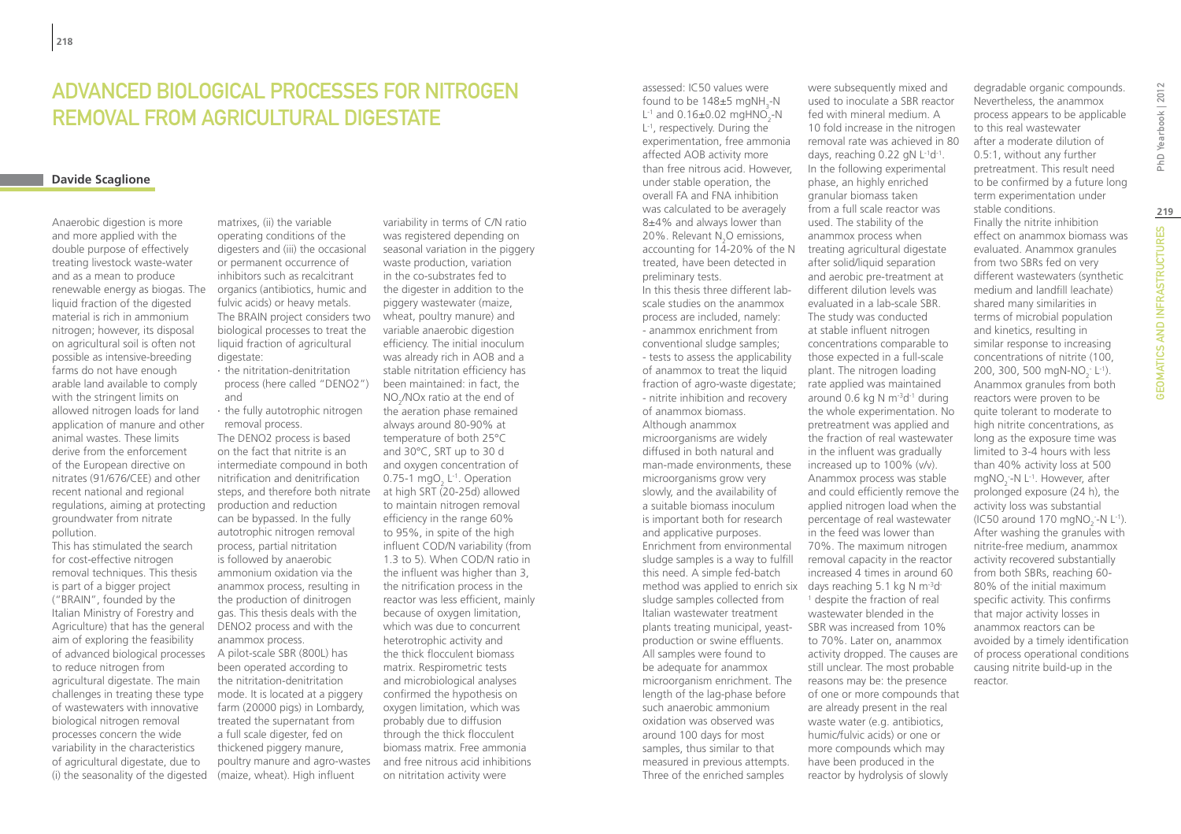### ADVANCED BIOLOGICAL PROCESSES FOR NITROGEN REMOVAL FROM AGRICULTURAL DIGESTATE

### **Davide Scaglione**

Anaerobic digestion is more and more applied with the double purpose of effectively treating livestock waste-water and as a mean to produce renewable energy as biogas. The liquid fraction of the digested material is rich in ammonium nitrogen; however, its disposal on agricultural soil is often not possible as intensive-breeding farms do not have enough arable land available to comply with the stringent limits on allowed nitrogen loads for land application of manure and other animal wastes. These limits derive from the enforcement of the European directive on nitrates (91/676/CEE) and other recent national and regional regulations, aiming at protecting groundwater from nitrate pollution.

This has stimulated the search for cost-effective nitrogen removal techniques. This thesis is part of a bigger project ("BRAIN", founded by the Italian Ministry of Forestry and Agriculture) that has the general aim of exploring the feasibility of advanced biological processes to reduce nitrogen from agricultural digestate. The main challenges in treating these type of wastewaters with innovative biological nitrogen removal processes concern the wide variability in the characteristics of agricultural digestate, due to (i) the seasonality of the digested

matrixes, (ii) the variable operating conditions of the digesters and (iii) the occasional or permanent occurrence of inhibitors such as recalcitrant organics (antibiotics, humic and fulvic acids) or heavy metals. The BRAIN project considers two biological processes to treat the liquid fraction of agricultural digestate:

∙ the nitritation-denitritation process (here called "DENO2") and

∙ the fully autotrophic nitrogen removal process.

The DENO2 process is based on the fact that nitrite is an intermediate compound in both nitrification and denitrification steps, and therefore both nitrate production and reduction can be bypassed. In the fully autotrophic nitrogen removal process, partial nitritation is followed by anaerobic ammonium oxidation via the anammox process, resulting in the production of dinitrogen gas. This thesis deals with the DENO2 process and with the anammox process. A pilot-scale SBR (800L) has been operated according to the nitritation-denitritation mode. It is located at a piggery farm (20000 pigs) in Lombardy, treated the supernatant from a full scale digester, fed on thickened piggery manure, poultry manure and agro-wastes

(maize, wheat). High influent

variability in terms of C/N ratio was registered depending on seasonal variation in the piggery waste production, variation in the co-substrates fed to the digester in addition to the piggery wastewater (maize, wheat, poultry manure) and variable anaerobic digestion efficiency. The initial inoculum was already rich in AOB and a stable nitritation efficiency has been maintained: in fact, the  $NO_2/NOx$  ratio at the end of the aeration phase remained always around 80-90% at temperature of both 25°C and 30°C, SRT up to 30 d and oxygen concentration of 0.75-1  $m gO<sub>2</sub>$  L<sup>-1</sup>. Operation at high SRT (20-25d) allowed to maintain nitrogen removal efficiency in the range 60% to 95%, in spite of the high influent COD/N variability (from 1.3 to 5). When COD/N ratio in the influent was higher than 3, the nitrification process in the reactor was less efficient, mainly because of oxygen limitation, which was due to concurrent heterotrophic activity and the thick flocculent biomass matrix. Respirometric tests and microbiological analyses confirmed the hypothesis on oxygen limitation, which was probably due to diffusion through the thick flocculent biomass matrix. Free ammonia and free nitrous acid inhibitions on nitritation activity were

assessed: IC50 values were found to be  $148\pm5$  mgNH<sub>3</sub>-N L<sup>-1</sup> and 0.16±0.02 mgHNO<sub>2</sub>-N L-1, respectively. During the experimentation, free ammonia affected AOB activity more than free nitrous acid. However, under stable operation, the overall FA and FNA inhibition was calculated to be averagely 8±4% and always lower than 20%. Relevant  $N_2$ O emissions, accounting for 14-20% of the N treated, have been detected in preliminary tests.

In this thesis three different labscale studies on the anammox process are included, namely: - anammox enrichment from conventional sludge samples; - tests to assess the applicability of anammox to treat the liquid fraction of agro-waste digestate; rate applied was maintained - nitrite inhibition and recovery of anammox biomass. Although anammox microorganisms are widely

diffused in both natural and man-made environments, these microorganisms grow very slowly, and the availability of a suitable biomass inoculum is important both for research and applicative purposes. Enrichment from environmental sludge samples is a way to fulfill this need. A simple fed-batch method was applied to enrich six days reaching  $5.1 \text{ kg N m}^{-3}$ d sludge samples collected from Italian wastewater treatment plants treating municipal, yeastproduction or swine effluents. All samples were found to be adequate for anammox microorganism enrichment. The length of the lag-phase before such anaerobic ammonium oxidation was observed was around 100 days for most samples, thus similar to that measured in previous attempts. Three of the enriched samples

used to inoculate a SBR reactor fed with mineral medium. A 10 fold increase in the nitrogen removal rate was achieved in 80 days, reaching 0.22 gN L<sup>-1</sup>d<sup>-1</sup>. In the following experimental phase, an highly enriched granular biomass taken from a full scale reactor was used. The stability of the anammox process when treating agricultural digestate after solid/liquid separation and aerobic pre-treatment at different dilution levels was evaluated in a lab-scale SBR. The study was conducted at stable influent nitrogen concentrations comparable to those expected in a full-scale plant. The nitrogen loading around 0.6 kg N  $\text{m}$ <sup>-3</sup>d<sup>-1</sup> during the whole experimentation. No pretreatment was applied and the fraction of real wastewater in the influent was gradually increased up to 100% (v/v). Anammox process was stable and could efficiently remove the applied nitrogen load when the percentage of real wastewater in the feed was lower than 70%. The maximum nitrogen removal capacity in the reactor increased 4 times in around 60 <sup>1</sup> despite the fraction of real wastewater blended in the SBR was increased from 10% to 70%. Later on, anammox activity dropped. The causes are still unclear. The most probable reasons may be: the presence of one or more compounds that are already present in the real waste water (e.g. antibiotics, humic/fulvic acids) or one or more compounds which may have been produced in the reactor by hydrolysis of slowly

were subsequently mixed and

degradable organic compounds. Nevertheless, the anammox process appears to be applicable to this real wastewater after a moderate dilution of 0.5:1, without any further pretreatment. This result need to be confirmed by a future long term experimentation under stable conditions. Finally the nitrite inhibition effect on anammox biomass was evaluated. Anammox granules from two SBRs fed on very different wastewaters (synthetic medium and landfill leachate) shared many similarities in terms of microbial population and kinetics, resulting in similar response to increasing concentrations of nitrite (100, 200, 300, 500 mgN-NO<sub>2</sub> L<sup>-1</sup>). Anammox granules from both reactors were proven to be quite tolerant to moderate to high nitrite concentrations, as long as the exposure time was limited to 3-4 hours with less than 40% activity loss at 500  $mgNO<sub>2</sub>$ -N L<sup>-1</sup>. However, after prolonged exposure (24 h), the activity loss was substantial (IC50 around 170 mgNO<sub>2</sub><sup>-</sup>-N L<sup>-1</sup>). After washing the granules with nitrite-free medium, anammox activity recovered substantially from both SBRs, reaching 60- 80% of the initial maximum specific activity. This confirms that major activity losses in anammox reactors can be avoided by a timely identification of process operational conditions causing nitrite build-up in the reactor.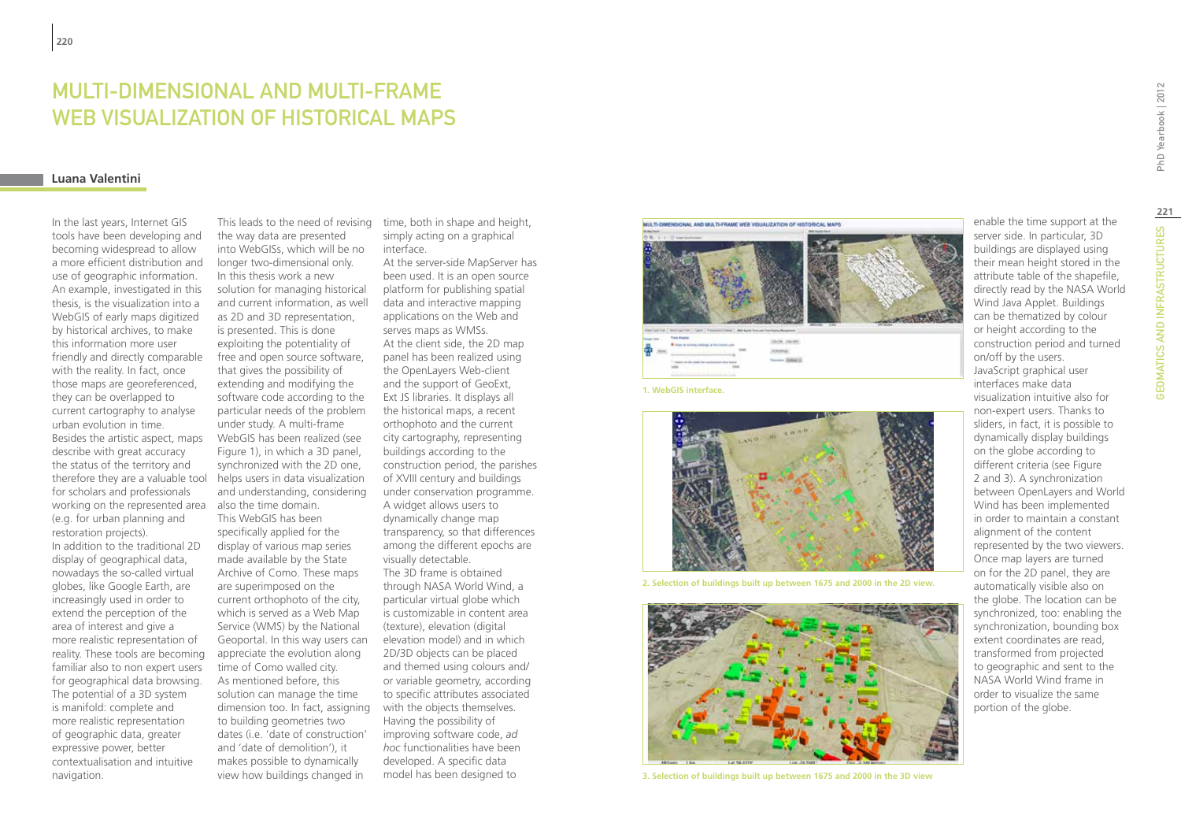# MULTI-DIMENSIONAL AND MULTI-FRAME WEB VISUALIZATION OF HISTORICAL MAPS

#### **Luana Valentini**

In the last years, Internet GIS tools have been developing and becoming widespread to allow a more efficient distribution and use of geographic information. An example, investigated in this thesis, is the visualization into a WebGIS of early maps digitized by historical archives, to make this information more user friendly and directly comparable with the reality. In fact, once those maps are georeferenced, they can be overlapped to current cartography to analyse urban evolution in time. Besides the artistic aspect, maps describe with great accuracy the status of the territory and therefore they are a valuable tool for scholars and professionals working on the represented area (e.g. for urban planning and restoration projects). In addition to the traditional 2D display of geographical data, nowadays the so-called virtual globes, like Google Earth, are increasingly used in order to extend the perception of the area of interest and give a more realistic representation of reality. These tools are becoming familiar also to non expert users for geographical data browsing. The potential of a 3D system is manifold: complete and more realistic representation of geographic data, greater expressive power, better contextualisation and intuitive navigation.

the way data are presented into WebGISs, which will be no longer two-dimensional only. In this thesis work a new solution for managing historical and current information, as well as 2D and 3D representation, is presented. This is done exploiting the potentiality of free and open source software, that gives the possibility of extending and modifying the software code according to the particular needs of the problem under study. A multi-frame WebGIS has been realized (see Figure 1), in which a 3D panel, synchronized with the 2D one, helps users in data visualization and understanding, considering also the time domain. This WebGIS has been specifically applied for the display of various map series made available by the State Archive of Como. These maps are superimposed on the current orthophoto of the city, which is served as a Web Map Service (WMS) by the National Geoportal. In this way users can appreciate the evolution along time of Como walled city. As mentioned before, this solution can manage the time dimension too. In fact, assigning to building geometries two dates (i.e. 'date of construction' and 'date of demolition'), it makes possible to dynamically view how buildings changed in

This leads to the need of revising time, both in shape and height, simply acting on a graphical interface.

> At the server-side MapServer has been used. It is an open source platform for publishing spatial data and interactive mapping applications on the Web and serves maps as WMSs. At the client side, the 2D map panel has been realized using the OpenLayers Web-client and the support of GeoExt, Ext JS libraries. It displays all the historical maps, a recent orthophoto and the current city cartography, representing buildings according to the construction period, the parishes of XVIII century and buildings under conservation programme. A widget allows users to dynamically change map transparency, so that differences among the different epochs are visually detectable. The 3D frame is obtained through NASA World Wind, a particular virtual globe which is customizable in content area (texture), elevation (digital elevation model) and in which 2D/3D objects can be placed and themed using colours and/ or variable geometry, according to specific attributes associated with the objects themselves. Having the possibility of improving software code, *ad hoc* functionalities have been developed. A specific data model has been designed to





**1. WebGIS interface.**



**2. Selection of buildings built up between 1675 and 2000 in the 2D view.**



**3. Selection of buildings built up between 1675 and 2000 in the 3D view**

server side. In particular, 3D buildings are displayed using their mean height stored in the attribute table of the shapefile, directly read by the NASA World Wind Java Applet. Buildings can be thematized by colour or height according to the construction period and turned on/off by the users. JavaScript graphical user interfaces make data visualization intuitive also for non-expert users. Thanks to sliders, in fact, it is possible to dynamically display buildings on the globe according to different criteria (see Figure 2 and 3). A synchronization between OpenLayers and World Wind has been implemented in order to maintain a constant alignment of the content represented by the two viewers. Once map layers are turned on for the 2D panel, they are automatically visible also on the globe. The location can be synchronized, too: enabling the synchronization, bounding box extent coordinates are read, transformed from projected to geographic and sent to the NASA World Wind frame in order to visualize the same portion of the globe.

enable the time support at the